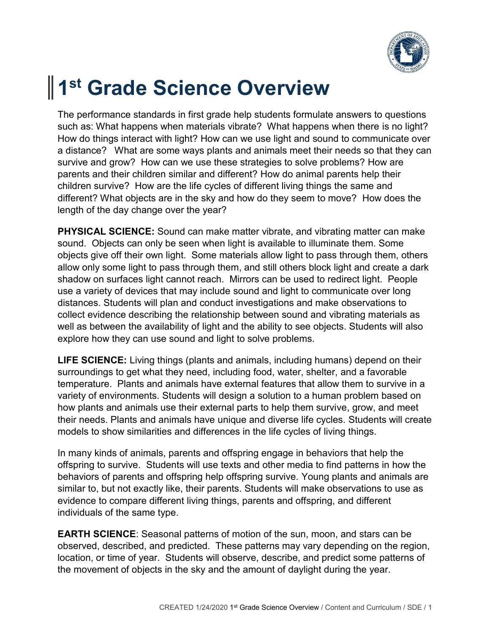

## **1 st Grade Science Overview**

The performance standards in first grade help students formulate answers to questions such as: What happens when materials vibrate? What happens when there is no light? How do things interact with light? How can we use light and sound to communicate over a distance? What are some ways plants and animals meet their needs so that they can survive and grow? How can we use these strategies to solve problems? How are parents and their children similar and different? How do animal parents help their children survive? How are the life cycles of different living things the same and different? What objects are in the sky and how do they seem to move? How does the length of the day change over the year?

**PHYSICAL SCIENCE:** Sound can make matter vibrate, and vibrating matter can make sound. Objects can only be seen when light is available to illuminate them. Some objects give off their own light. Some materials allow light to pass through them, others allow only some light to pass through them, and still others block light and create a dark shadow on surfaces light cannot reach. Mirrors can be used to redirect light. People use a variety of devices that may include sound and light to communicate over long distances. Students will plan and conduct investigations and make observations to collect evidence describing the relationship between sound and vibrating materials as well as between the availability of light and the ability to see objects. Students will also explore how they can use sound and light to solve problems.

**LIFE SCIENCE:** Living things (plants and animals, including humans) depend on their surroundings to get what they need, including food, water, shelter, and a favorable temperature. Plants and animals have external features that allow them to survive in a variety of environments. Students will design a solution to a human problem based on how plants and animals use their external parts to help them survive, grow, and meet their needs. Plants and animals have unique and diverse life cycles. Students will create models to show similarities and differences in the life cycles of living things.

In many kinds of animals, parents and offspring engage in behaviors that help the offspring to survive. Students will use texts and other media to find patterns in how the behaviors of parents and offspring help offspring survive. Young plants and animals are similar to, but not exactly like, their parents. Students will make observations to use as evidence to compare different living things, parents and offspring, and different individuals of the same type.

**EARTH SCIENCE**: Seasonal patterns of motion of the sun, moon, and stars can be observed, described, and predicted. These patterns may vary depending on the region, location, or time of year. Students will observe, describe, and predict some patterns of the movement of objects in the sky and the amount of daylight during the year.